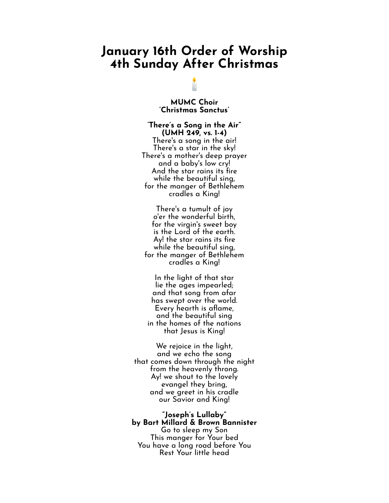# **January 16th Order of Worship 4th Sunday After Christmas**

## 

**MUMC Choir 'Christmas Sanctus'**

**'There's a Song in the Air" (UMH 249, vs. 1-4)** There's a song in the air!

There's a star in the sky! There's a mother's deep prayer and a baby's low cry! And the star rains its fire while the beautiful sing, for the manger of Bethlehem cradles a King!

There's a tumult of joy o'er the wonderful birth, for the virgin's sweet boy is the Lord of the earth. Ay! the star rains its fire while the beautiful sing, for the manger of Bethlehem cradles a King!

In the light of that star lie the ages impearled; and that song from afar has swept over the world. Every hearth is aflame, and the beautiful sing in the homes of the nations that Jesus is King!

We rejoice in the light, and we echo the song that comes down through the night from the heavenly throng. Ay! we shout to the lovely evangel they bring, and we greet in his cradle our Savior and King!

**"Joseph's Lullaby" by Bart Millard & Brown Bannister** Go to sleep my Son This manger for Your bed You have a long road before You Rest Your little head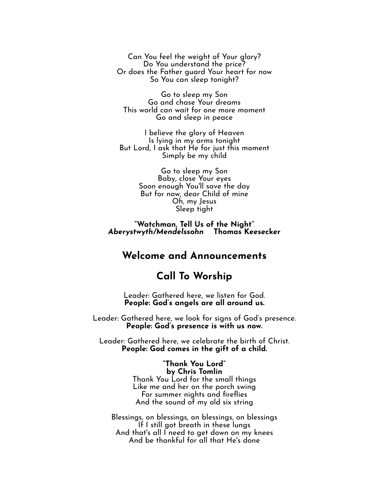Can You feel the weight of Your glory? Do You understand the price? Or does the Father guard Your heart for now So You can sleep tonight?

Go to sleep my Son Go and chase Your dreams This world can wait for one more moment Go and sleep in peace

I believe the glory of Heaven Is lying in my arms tonight But Lord, I ask that He for just this moment Simply be my child

> Go to sleep my Son Baby, close Your eyes Soon enough You'll save the day But for now, dear Child of mine Oh, my Jesus Sleep tight

**"Watchman, Tell Us of the Night"** *Aberystwyth/Mendelssohn* **Thomas Keesecker**

#### **Welcome and Announcements**

## **Call To Worship**

Leader: Gathered here, we listen for God. **People: God's angels are all around us.**

Leader: Gathered here, we look for signs of God's presence. **People: God's presence is with us now.**

Leader: Gathered here, we celebrate the birth of Christ. **People: God comes in the gift of a child.**

> **"Thank You Lord" by Chris Tomlin** Thank You Lord for the small things Like me and her on the porch swing For summer nights and fireflies And the sound of my old six string

Blessings, on blessings, on blessings, on blessings If I still got breath in these lungs And that's all I need to get down on my knees And be thankful for all that He's done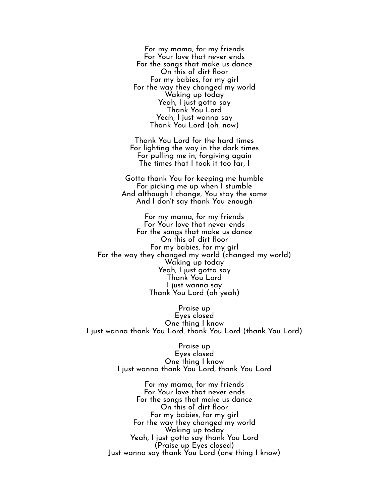For my mama, for my friends For Your love that never ends For the songs that make us dance On this ol' dirt floor For my babies, for my girl For the way they changed my world Waking up today Yeah, I just gotta say Thank You Lord Yeah, I just wanna say Thank You Lord (oh, now)

Thank You Lord for the hard times For lighting the way in the dark times For pulling me in, forgiving again The times that I took it too far, I

Gotta thank You for keeping me humble For picking me up when I stumble And although I change, You stay the same And I don't say thank You enough

For my mama, for my friends For Your love that never ends For the songs that make us dance On this ol' dirt floor For my babies, for my girl For the way they changed my world (changed my world) Waking up today Yeah, I just gotta say Thank You Lord I just wanna say Thank You Lord (oh yeah)

Praise up Eyes closed One thing I know I just wanna thank You Lord, thank You Lord (thank You Lord)

> Praise up Eyes closed One thing I know I just wanna thank You Lord, thank You Lord

For my mama, for my friends For Your love that never ends For the songs that make us dance On this ol' dirt floor For my babies, for my girl For the way they changed my world Waking up today Yeah, I just gotta say thank You Lord (Praise up Eyes closed) Just wanna say thank You Lord (one thing I know)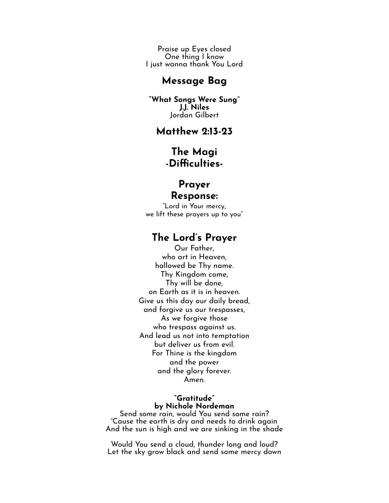Praise up Eyes closed One thing I know I just wanna thank You Lord

#### **Message Bag**

**"What Songs Were Sung" J.J. Niles** Jordan Gilbert

### **Matthew 2:13-23**

### **The Magi -Difficulties-**

#### **Prayer Response:**

"Lord in Your mercy, we lift these prayers up to you"

#### **The Lord's Prayer**

Our Father, who art in Heaven, hallowed be Thy name. Thy Kingdom come, Thy will be done, on Earth as it is in heaven. Give us this day our daily bread, and forgive us our trespasses, As we forgive those who trespass against us. And lead us not into temptation but deliver us from evil. For Thine is the kingdom and the power and the glory forever. Amen.

#### **"Gratitude" by Nichole Nordeman**

Send some rain, would You send some rain? 'Cause the earth is dry and needs to drink again And the sun is high and we are sinking in the shade

Would You send a cloud, thunder long and loud? Let the sky grow black and send some mercy down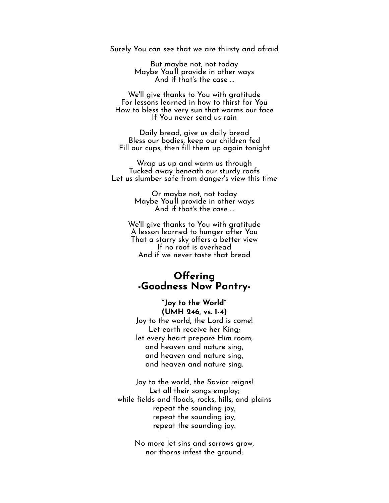Surely You can see that we are thirsty and afraid

But maybe not, not today Maybe You'll provide in other ways And if that's the case ...

We'll give thanks to You with gratitude For lessons learned in how to thirst for You How to bless the very sun that warms our face If You never send us rain

Daily bread, give us daily bread Bless our bodies, keep our children fed Fill our cups, then fill them up again tonight

Wrap us up and warm us through Tucked away beneath our sturdy roofs Let us slumber safe from danger's view this time

> Or maybe not, not today Maybe You'll provide in other ways And if that's the case ...

We'll give thanks to You with gratitude A lesson learned to hunger after You That a starry sky offers a better view If no roof is overhead And if we never taste that bread

#### **Offering -Goodness Now Pantry-**

**"Joy to the World" (UMH 246, vs. 1-4)** Joy to the world, the Lord is come! Let earth receive her King; let every heart prepare Him room, and heaven and nature sing, and heaven and nature sing, and heaven and nature sing.

Joy to the world, the Savior reigns! Let all their songs employ; while fields and floods, rocks, hills, and plains repeat the sounding joy, repeat the sounding joy, repeat the sounding joy.

> No more let sins and sorrows grow, nor thorns infest the ground;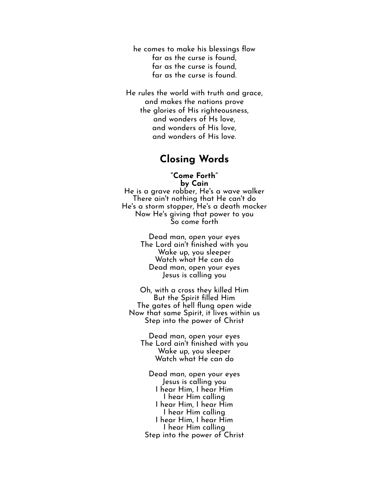he comes to make his blessings flow far as the curse is found, far as the curse is found, far as the curse is found.

He rules the world with truth and grace, and makes the nations prove the glories of His righteousness, and wonders of Hs love, and wonders of His love, and wonders of His love.

### **Closing Words**

#### **"Come Forth" by Cain**

He is a grave robber, He's a wave walker There ain't nothing that He can't do He's a storm stopper, He's a death mocker Now He's giving that power to you So come forth

> Dead man, open your eyes The Lord ain't finished with you Wake up, you sleeper Watch what He can do Dead man, open your eyes Jesus is calling you

Oh, with a cross they killed Him But the Spirit filled Him The gates of hell flung open wide Now that same Spirit, it lives within us Step into the power of Christ

Dead man, open your eyes The Lord ain't finished with you Wake up, you sleeper Watch what He can do

Dead man, open your eyes Jesus is calling you I hear Him, I hear Him I hear Him calling I hear Him, I hear Him I hear Him calling I hear Him, I hear Him I hear Him calling Step into the power of Christ